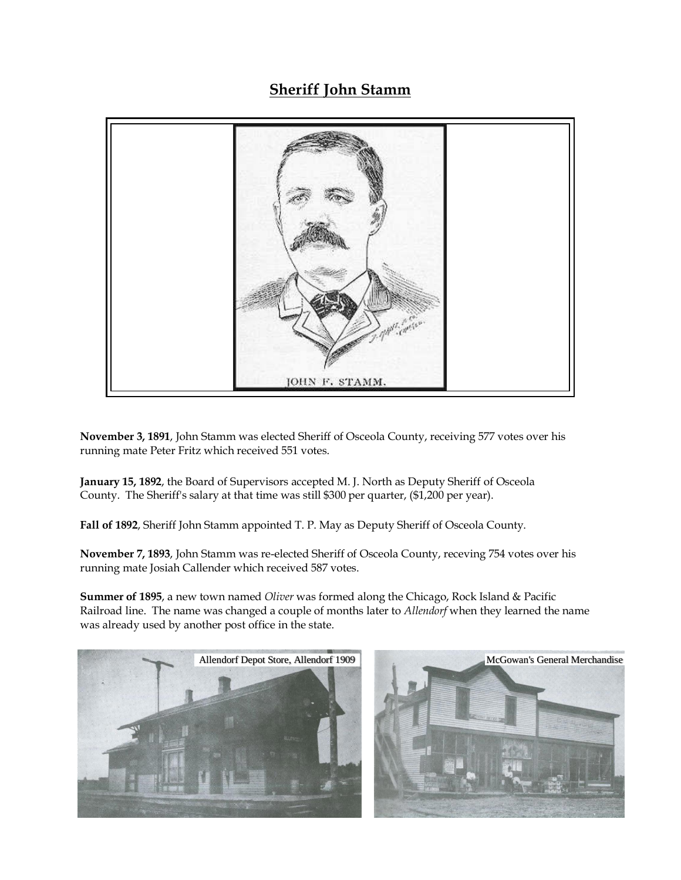## **Sheriff John Stamm**



**November 3, 1891**, John Stamm was elected Sheriff of Osceola County, receiving 577 votes over his running mate Peter Fritz which received 551 votes.

**January 15, 1892**, the Board of Supervisors accepted M. J. North as Deputy Sheriff of Osceola County. The Sheriff's salary at that time was still \$300 per quarter, (\$1,200 per year).

**Fall of 1892**, Sheriff John Stamm appointed T. P. May as Deputy Sheriff of Osceola County.

**November 7, 1893**, John Stamm was re-elected Sheriff of Osceola County, receving 754 votes over his running mate Josiah Callender which received 587 votes.

**Summer of 1895**, a new town named *Oliver* was formed along the Chicago, Rock Island & Pacific Railroad line. The name was changed a couple of months later to *Allendorf* when they learned the name was already used by another post office in the state.